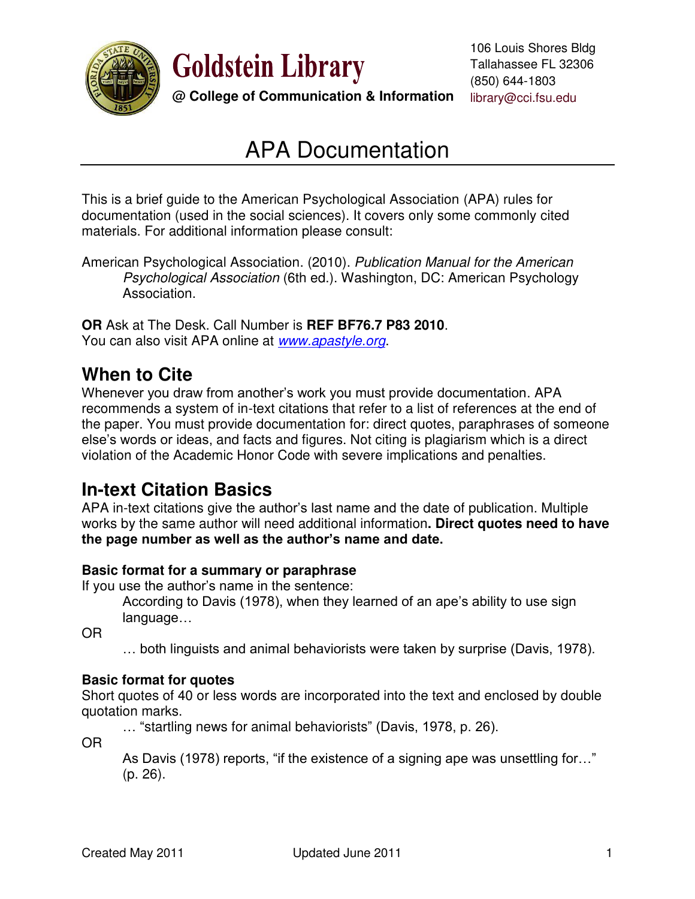

**Goldstein Library** 

### **@ College of Communication & Information** library@cci.fsu.edu

# APA Documentation

This is a brief guide to the American Psychological Association (APA) rules for documentation (used in the social sciences). It covers only some commonly cited materials. For additional information please consult:

American Psychological Association. (2010). *Publication Manual for the American Psychological Association* (6th ed.). Washington, DC: American Psychology Association.

**OR** Ask at The Desk. Call Number is **REF BF76.7 P83 2010**. You can also visit APA online at *[www.apastyle.org](http://www.apastyle.org/)*.

# **When to Cite**

Whenever you draw from another's work you must provide documentation. APA recommends a system of in-text citations that refer to a list of references at the end of the paper. You must provide documentation for: direct quotes, paraphrases of someone else's words or ideas, and facts and figures. Not citing is plagiarism which is a direct violation of the Academic Honor Code with severe implications and penalties.

### **In-text Citation Basics**

APA in-text citations give the author's last name and the date of publication. Multiple works by the same author will need additional information**. Direct quotes need to have the page number as well as the author's name and date.**

### **Basic format for a summary or paraphrase**

If you use the author's name in the sentence:

According to Davis (1978), when they learned of an ape's ability to use sign language…

OR

… both linguists and animal behaviorists were taken by surprise (Davis, 1978).

### **Basic format for quotes**

Short quotes of 40 or less words are incorporated into the text and enclosed by double quotation marks.

… "startling news for animal behaviorists" (Davis, 1978, p. 26).

OR

As Davis (1978) reports, "if the existence of a signing ape was unsettling for…" (p. 26).